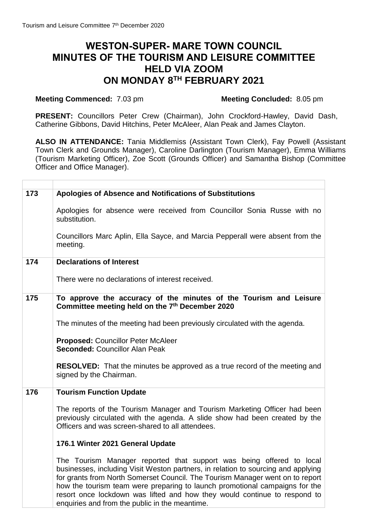# **WESTON-SUPER- MARE TOWN COUNCIL MINUTES OF THE TOURISM AND LEISURE COMMITTEE HELD VIA ZOOM ON MONDAY 8 TH FEBRUARY 2021**

#### **Meeting Commenced:** 7.03 pm

**PRESENT:** Councillors Peter Crew (Chairman), John Crockford-Hawley, David Dash, Catherine Gibbons, David Hitchins, Peter McAleer, Alan Peak and James Clayton.

**ALSO IN ATTENDANCE:** Tania Middlemiss (Assistant Town Clerk), Fay Powell (Assistant Town Clerk and Grounds Manager), Caroline Darlington (Tourism Manager), Emma Williams (Tourism Marketing Officer), Zoe Scott (Grounds Officer) and Samantha Bishop (Committee Officer and Office Manager).

| 173 | Apologies of Absence and Notifications of Substitutions                                                                                                                                                                                                                                                                                                                                                |
|-----|--------------------------------------------------------------------------------------------------------------------------------------------------------------------------------------------------------------------------------------------------------------------------------------------------------------------------------------------------------------------------------------------------------|
|     | Apologies for absence were received from Councillor Sonia Russe with no<br>substitution.                                                                                                                                                                                                                                                                                                               |
|     | Councillors Marc Aplin, Ella Sayce, and Marcia Pepperall were absent from the<br>meeting.                                                                                                                                                                                                                                                                                                              |
| 174 | <b>Declarations of Interest</b>                                                                                                                                                                                                                                                                                                                                                                        |
|     | There were no declarations of interest received.                                                                                                                                                                                                                                                                                                                                                       |
| 175 | To approve the accuracy of the minutes of the Tourism and Leisure<br>Committee meeting held on the 7th December 2020                                                                                                                                                                                                                                                                                   |
|     | The minutes of the meeting had been previously circulated with the agenda.                                                                                                                                                                                                                                                                                                                             |
|     | <b>Proposed: Councillor Peter McAleer</b><br><b>Seconded: Councillor Alan Peak</b>                                                                                                                                                                                                                                                                                                                     |
|     | <b>RESOLVED:</b> That the minutes be approved as a true record of the meeting and<br>signed by the Chairman.                                                                                                                                                                                                                                                                                           |
| 176 | <b>Tourism Function Update</b>                                                                                                                                                                                                                                                                                                                                                                         |
|     | The reports of the Tourism Manager and Tourism Marketing Officer had been<br>previously circulated with the agenda. A slide show had been created by the<br>Officers and was screen-shared to all attendees.                                                                                                                                                                                           |
|     | 176.1 Winter 2021 General Update                                                                                                                                                                                                                                                                                                                                                                       |
|     | The Tourism Manager reported that support was being offered to local<br>businesses, including Visit Weston partners, in relation to sourcing and applying<br>for grants from North Somerset Council. The Tourism Manager went on to report<br>how the tourism team were preparing to launch promotional campaigns for the<br>resort once lockdown was lifted and how they would continue to respond to |

enquiries and from the public in the meantime.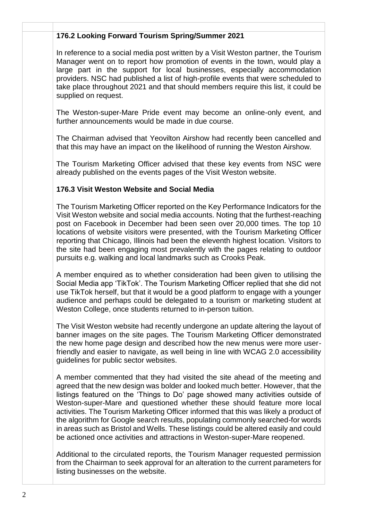#### **x x 176.2 Looking Forward Tourism Spring/Summer 2021**

In reference to a social media post written by a Visit Weston partner, the Tourism Manager went on to report how promotion of events in the town, would play a large part in the support for local businesses, especially accommodation providers. NSC had published a list of high-profile events that were scheduled to take place throughout 2021 and that should members require this list, it could be supplied on request.

The Weston-super-Mare Pride event may become an online-only event, and further announcements would be made in due course.

The Chairman advised that Yeovilton Airshow had recently been cancelled and that this may have an impact on the likelihood of running the Weston Airshow.

The Tourism Marketing Officer advised that these key events from NSC were already published on the events pages of the Visit Weston website.

### **176.3 Visit Weston Website and Social Media**

The Tourism Marketing Officer reported on the Key Performance Indicators for the Visit Weston website and social media accounts. Noting that the furthest-reaching post on Facebook in December had been seen over 20,000 times. The top 10 locations of website visitors were presented, with the Tourism Marketing Officer reporting that Chicago, Illinois had been the eleventh highest location. Visitors to the site had been engaging most prevalently with the pages relating to outdoor pursuits e.g. walking and local landmarks such as Crooks Peak.

A member enquired as to whether consideration had been given to utilising the Social Media app 'TikTok'. The Tourism Marketing Officer replied that she did not use TikTok herself, but that it would be a good platform to engage with a younger audience and perhaps could be delegated to a tourism or marketing student at Weston College, once students returned to in-person tuition.

The Visit Weston website had recently undergone an update altering the layout of banner images on the site pages. The Tourism Marketing Officer demonstrated the new home page design and described how the new menus were more userfriendly and easier to navigate, as well being in line with WCAG 2.0 accessibility guidelines for public sector websites.

A member commented that they had visited the site ahead of the meeting and agreed that the new design was bolder and looked much better. However, that the listings featured on the 'Things to Do' page showed many activities outside of Weston-super-Mare and questioned whether these should feature more local activities. The Tourism Marketing Officer informed that this was likely a product of the algorithm for Google search results, populating commonly searched-for words in areas such as Bristol and Wells. These listings could be altered easily and could be actioned once activities and attractions in Weston-super-Mare reopened.

Additional to the circulated reports, the Tourism Manager requested permission from the Chairman to seek approval for an alteration to the current parameters for listing businesses on the website.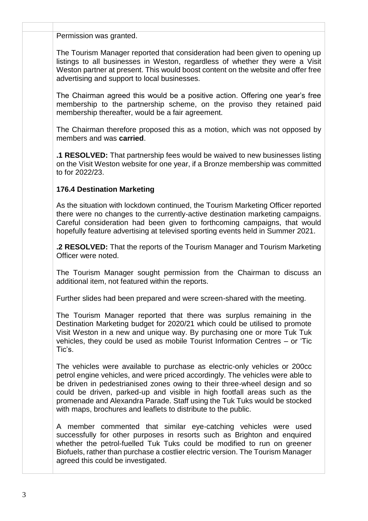Permission was granted.

**x x**

The Tourism Manager reported that consideration had been given to opening up listings to all businesses in Weston, regardless of whether they were a Visit Weston partner at present. This would boost content on the website and offer free advertising and support to local businesses.

The Chairman agreed this would be a positive action. Offering one year's free membership to the partnership scheme, on the proviso they retained paid membership thereafter, would be a fair agreement.

The Chairman therefore proposed this as a motion, which was not opposed by members and was **carried**.

**.1 RESOLVED:** That partnership fees would be waived to new businesses listing on the Visit Weston website for one year, if a Bronze membership was committed to for 2022/23.

### **176.4 Destination Marketing**

As the situation with lockdown continued, the Tourism Marketing Officer reported there were no changes to the currently-active destination marketing campaigns. Careful consideration had been given to forthcoming campaigns, that would hopefully feature advertising at televised sporting events held in Summer 2021.

**.2 RESOLVED:** That the reports of the Tourism Manager and Tourism Marketing Officer were noted.

The Tourism Manager sought permission from the Chairman to discuss an additional item, not featured within the reports.

Further slides had been prepared and were screen-shared with the meeting.

The Tourism Manager reported that there was surplus remaining in the Destination Marketing budget for 2020/21 which could be utilised to promote Visit Weston in a new and unique way. By purchasing one or more Tuk Tuk vehicles, they could be used as mobile Tourist Information Centres – or 'Tic Tic's.

The vehicles were available to purchase as electric-only vehicles or 200cc petrol engine vehicles, and were priced accordingly. The vehicles were able to be driven in pedestrianised zones owing to their three-wheel design and so could be driven, parked-up and visible in high footfall areas such as the promenade and Alexandra Parade. Staff using the Tuk Tuks would be stocked with maps, brochures and leaflets to distribute to the public.

A member commented that similar eye-catching vehicles were used successfully for other purposes in resorts such as Brighton and enquired whether the petrol-fuelled Tuk Tuks could be modified to run on greener Biofuels, rather than purchase a costlier electric version. The Tourism Manager agreed this could be investigated.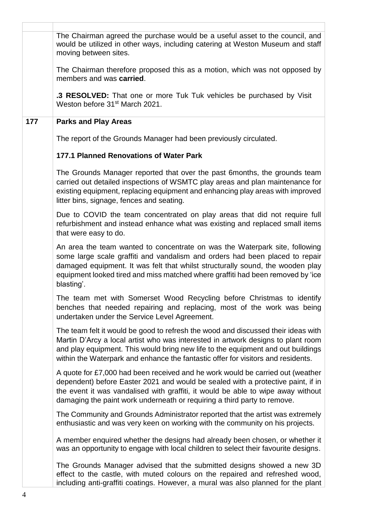|     | The Chairman agreed the purchase would be a useful asset to the council, and<br>would be utilized in other ways, including catering at Weston Museum and staff<br>moving between sites.                                                                                                                                                        |
|-----|------------------------------------------------------------------------------------------------------------------------------------------------------------------------------------------------------------------------------------------------------------------------------------------------------------------------------------------------|
|     | The Chairman therefore proposed this as a motion, which was not opposed by<br>members and was carried.                                                                                                                                                                                                                                         |
|     | .3 RESOLVED: That one or more Tuk Tuk vehicles be purchased by Visit<br>Weston before 31 <sup>st</sup> March 2021.                                                                                                                                                                                                                             |
| 177 | <b>Parks and Play Areas</b>                                                                                                                                                                                                                                                                                                                    |
|     | The report of the Grounds Manager had been previously circulated.                                                                                                                                                                                                                                                                              |
|     | <b>177.1 Planned Renovations of Water Park</b>                                                                                                                                                                                                                                                                                                 |
|     | The Grounds Manager reported that over the past 6 months, the grounds team<br>carried out detailed inspections of WSMTC play areas and plan maintenance for<br>existing equipment, replacing equipment and enhancing play areas with improved<br>litter bins, signage, fences and seating.                                                     |
|     | Due to COVID the team concentrated on play areas that did not require full<br>refurbishment and instead enhance what was existing and replaced small items<br>that were easy to do.                                                                                                                                                            |
|     | An area the team wanted to concentrate on was the Waterpark site, following<br>some large scale graffiti and vandalism and orders had been placed to repair<br>damaged equipment. It was felt that whilst structurally sound, the wooden play<br>equipment looked tired and miss matched where graffiti had been removed by 'ice<br>blasting'. |
|     | The team met with Somerset Wood Recycling before Christmas to identify<br>benches that needed repairing and replacing, most of the work was being<br>undertaken under the Service Level Agreement.                                                                                                                                             |
|     | The team felt it would be good to refresh the wood and discussed their ideas with<br>Martin D'Arcy a local artist who was interested in artwork designs to plant room<br>and play equipment. This would bring new life to the equipment and out buildings<br>within the Waterpark and enhance the fantastic offer for visitors and residents.  |
|     | A quote for £7,000 had been received and he work would be carried out (weather<br>dependent) before Easter 2021 and would be sealed with a protective paint, if in<br>the event it was vandalised with graffiti, it would be able to wipe away without<br>damaging the paint work underneath or requiring a third party to remove.             |
|     | The Community and Grounds Administrator reported that the artist was extremely<br>enthusiastic and was very keen on working with the community on his projects.                                                                                                                                                                                |
|     | A member enquired whether the designs had already been chosen, or whether it<br>was an opportunity to engage with local children to select their favourite designs.                                                                                                                                                                            |
|     | The Grounds Manager advised that the submitted designs showed a new 3D<br>effect to the castle, with muted colours on the repaired and refreshed wood,<br>including anti-graffiti coatings. However, a mural was also planned for the plant                                                                                                    |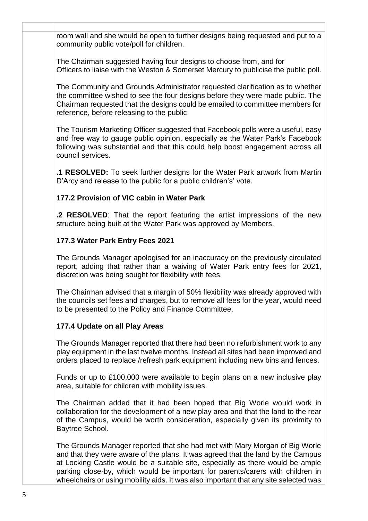**x x** room wall and she would be open to further designs being requested and put to a community public vote/poll for children.

> The Chairman suggested having four designs to choose from, and for Officers to liaise with the Weston & Somerset Mercury to publicise the public poll.

> The Community and Grounds Administrator requested clarification as to whether the committee wished to see the four designs before they were made public. The Chairman requested that the designs could be emailed to committee members for reference, before releasing to the public.

> The Tourism Marketing Officer suggested that Facebook polls were a useful, easy and free way to gauge public opinion, especially as the Water Park's Facebook following was substantial and that this could help boost engagement across all council services.

> **.1 RESOLVED:** To seek further designs for the Water Park artwork from Martin D'Arcy and release to the public for a public children's' vote.

# **177.2 Provision of VIC cabin in Water Park**

**.2 RESOLVED**: That the report featuring the artist impressions of the new structure being built at the Water Park was approved by Members.

# **177.3 Water Park Entry Fees 2021**

The Grounds Manager apologised for an inaccuracy on the previously circulated report, adding that rather than a waiving of Water Park entry fees for 2021, discretion was being sought for flexibility with fees.

The Chairman advised that a margin of 50% flexibility was already approved with the councils set fees and charges, but to remove all fees for the year, would need to be presented to the Policy and Finance Committee.

## **177.4 Update on all Play Areas**

The Grounds Manager reported that there had been no refurbishment work to any play equipment in the last twelve months. Instead all sites had been improved and orders placed to replace /refresh park equipment including new bins and fences.

Funds or up to £100,000 were available to begin plans on a new inclusive play area, suitable for children with mobility issues.

The Chairman added that it had been hoped that Big Worle would work in collaboration for the development of a new play area and that the land to the rear of the Campus, would be worth consideration, especially given its proximity to Baytree School.

The Grounds Manager reported that she had met with Mary Morgan of Big Worle and that they were aware of the plans. It was agreed that the land by the Campus at Locking Castle would be a suitable site, especially as there would be ample parking close-by, which would be important for parents/carers with children in wheelchairs or using mobility aids. It was also important that any site selected was